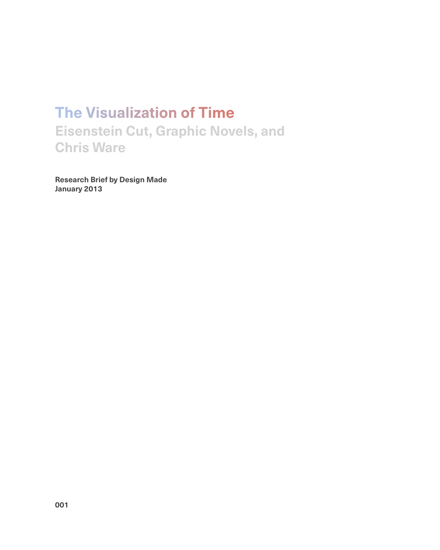## **The Visualization of Time Eisenstein Cut, Graphic Novels, and Chris Ware**

**Research Brief by Design Made January 2013**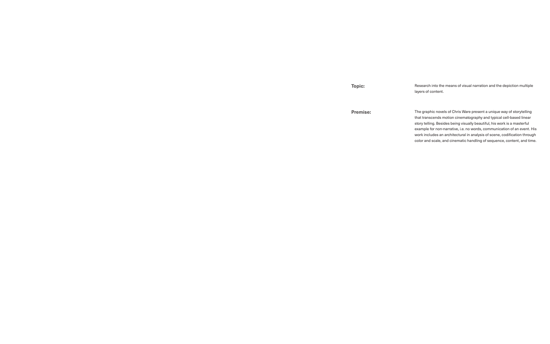**Premise:**

**Topic:**

The graphic novels of Chris Ware present a unique way of storytelling that transcends motion cinematography and typical cell-based linear story telling. Besides being visually beautiful, his work is a masterful example for non-narrative, i.e. no words, communication of an event. His work includes an architectural in analysis of scene, codification through color and scale, and cinematic handling of sequence, content, and time.

Research into the means of visual narration and the depiction multiple layers of content.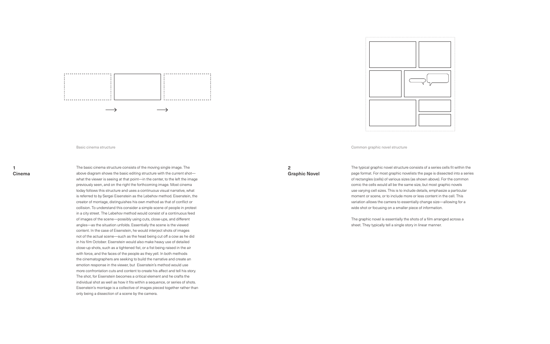

Basic cinema structure **Common graphic novel structure** Common graphic novel structure

## **1 Cinema**

The basic cinema structure consists of the moving single image. The above diagram shows the basic editing structure with the current shot what the viewer is seeing at that point—in the center, to the left the image previously seen, and on the right the forthcoming image. Most cinema today follows this structure and uses a continuous visual narrative, what is referred to by Sergei Eisenstein as the Lebehov method. Eisenstein, the creator of montage, distinguishes his own method as that of conflict or collision. To understand this consider a simple scene of people in protest in a city street. The Lebehov method would consist of a continuous feed of images of the scene—possibly using cuts, close-ups, and different angles—as the situation unfolds. Essentially the scene is the viewed content. In the case of Eisenstein, he would interject shots of images not of the actual scene—such as the head being cut off a cow as he did in his film October. Eisenstein would also make heavy use of detailed close-up shots, such as a tightened fist, or a fist being raised in the air with force, and the faces of the people as they yell. In both methods the cinematographers are seeking to build the narrative and create an emotion response in the viewer, but Eisenstein's method would use more confrontation cuts and content to create his affect and tell his story. The shot, for Eisenstein becomes a critical element and he crafts the individual shot as well as how it fits within a sequence, or series of shots. Eisenstein's montage is a collective of images pieced together rather than only being a dissection of a scene by the camera.

The typical graphic novel structure consists of a series cells fit within the page format. For most graphic novelists the page is dissected into a series of rectangles (cells) of various sizes (as shown above). For the common comic the cells would all be the same size, but most graphic novels use varying cell sizes. This is to include details, emphasize a particular moment or scene, or to include more or less content in the cell. This variation allows the camera to essentially change size—allowing for a wide shot or focusing on a smaller piece of information.

The graphic novel is essentially the shots of a film arranged across a sheet. They typically tell a single story in linear manner.



**2 Graphic Novel**